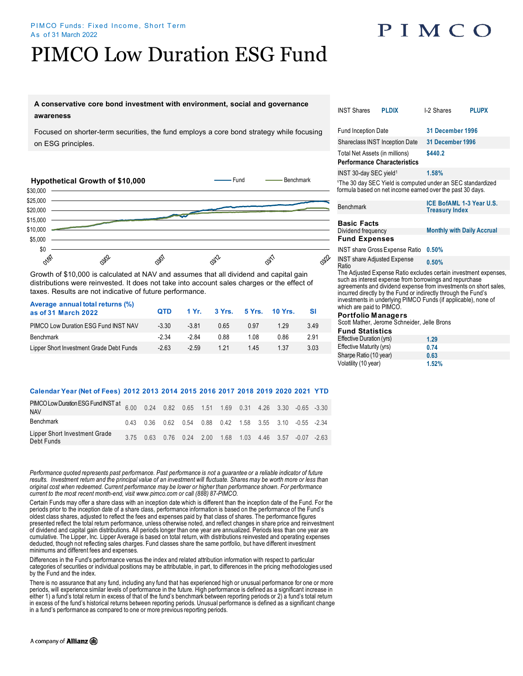### PIMCO Funds: Fixed Income, Short Term As of 31 March 2022

# PIMCO Low Duration ESG Fund

## PIMCO

## **A conservative core bond investment with environment, social and governance awareness**

Focused on shorter-term securities, the fund employs a core bond strategy while focusing on ESG principles.



Growth of \$10,000 is calculated at NAV and assumes that all dividend and capital gain distributions were reinvested. It does not take into account sales charges or the effect of taxes. Results are not indicative of future performance.

| Average annual total returns (%)<br>as of 31 March 2022 | <b>QTD</b> |         | 1 Yr. 3 Yrs. 5 Yrs. 10 Yrs. |      |      |      |  |
|---------------------------------------------------------|------------|---------|-----------------------------|------|------|------|--|
| PIMCO Low Duration ESG Fund INST NAV                    | $-3.30$    | $-3.81$ | 0.65                        | 0.97 | 1 29 | 3.49 |  |
| Benchmark                                               | -2.34      | -284    | 0.88                        | 1.08 | 0.86 | 2.91 |  |
| Lipper Short Investment Grade Debt Funds                | $-2.63$    | $-2.59$ | 1 2 1                       | 145  | 1.37 | 3.03 |  |

### **Calendar Year (Net of Fees) 2012 2013 2014 2015 2016 2017 2018 2019 2020 2021 YTD**

| PIMCO Low Duration ESG Fund INST at 6.00 0.24 0.82 0.65 1.51 1.69 0.31 4.26 3.30 -0.65 -3.30<br><b>NAV</b> |  |  |  |  |                                                                    |  |
|------------------------------------------------------------------------------------------------------------|--|--|--|--|--------------------------------------------------------------------|--|
| Benchmark                                                                                                  |  |  |  |  | 0.43 0.36 0.62 0.54 0.88 0.42 1.58 3.55 3.10 -0.55 -2.34           |  |
| Lipper Short Investment Grade<br>Debt Funds                                                                |  |  |  |  | 3.75  0.63  0.76  0.24  2.00  1.68  1.03  4.46  3.57  -0.07  -2.63 |  |

*Performance quoted represents past performance. Past performance is not a guarantee or a reliable indicator of future*  results. Investment return and the principal value of an investment will fluctuate. Shares may be worth more or less than *original cost when redeemed. Current performance may be lower or higher than performance shown. For performance current to the most recent month-end, visit www.pimco.com or call (888) 87-PIMCO.*

Certain Funds may offer a share class with an inception date which is different than the inception date of the Fund. For the periods prior to the inception date of a share class, performance information is based on the performance of the Fund's oldest class shares, adjusted to reflect the fees and expenses paid by that class of shares. The performance figures<br>presented reflect the total return performance, unless otherwise noted, and reflect changes in share pric of dividend and capital gain distributions. All periods longer than one year are annualized. Periods less than one year are cumulative. The Lipper, Inc. Lipper Average is based on total return, with distributions reinvested and operating expenses deducted, though not reflecting sales charges. Fund classes share the same portfolio, but have different investment minimums and different fees and expenses.

Differences in the Fund's performance versus the index and related attribution information with respect to particular categories of securities or individual positions may be attributable, in part, to differences in the pricing methodologies used by the Fund and the index.

There is no assurance that any fund, including any fund that has experienced high or unusual performance for one or more periods, will experience similar levels of performance in the future. High performance is defined as a significant increase in either 1) a fund's total return in excess of that of the fund's benchmark between reporting periods or 2) a fund's total return in excess of the fund's historical returns between reporting periods. Unusual performance is defined as a significant change in a fund's performance as compared to one or more previous reporting periods.

|    | <b>INST Shares</b>                                                                                                                                                                                                                                                                                                                                              | <b>PLDIX</b> | I-2 Shares                                                                                                                           | <b>PLUPX</b> |  |  |  |
|----|-----------------------------------------------------------------------------------------------------------------------------------------------------------------------------------------------------------------------------------------------------------------------------------------------------------------------------------------------------------------|--------------|--------------------------------------------------------------------------------------------------------------------------------------|--------------|--|--|--|
|    | <b>Fund Inception Date</b>                                                                                                                                                                                                                                                                                                                                      |              | 31 December 1996                                                                                                                     |              |  |  |  |
|    | Shareclass INST Inception Date                                                                                                                                                                                                                                                                                                                                  |              | 31 December 1996                                                                                                                     |              |  |  |  |
|    | Total Net Assets (in millions)<br><b>Performance Characteristics</b>                                                                                                                                                                                                                                                                                            |              | \$440.2                                                                                                                              |              |  |  |  |
|    | INST 30-day SEC yield <sup>1</sup>                                                                                                                                                                                                                                                                                                                              |              | 1.58%                                                                                                                                |              |  |  |  |
|    |                                                                                                                                                                                                                                                                                                                                                                 |              | <sup>1</sup> The 30 day SEC Yield is computed under an SEC standardized<br>formula based on net income earned over the past 30 days. |              |  |  |  |
| ī  | Benchmark                                                                                                                                                                                                                                                                                                                                                       |              | ICE BofAML 1-3 Year U.S.<br><b>Treasury Index</b>                                                                                    |              |  |  |  |
|    | <b>Basic Facts</b>                                                                                                                                                                                                                                                                                                                                              |              |                                                                                                                                      |              |  |  |  |
| ÷, | Dividend frequency                                                                                                                                                                                                                                                                                                                                              |              | <b>Monthly with Daily Accrual</b>                                                                                                    |              |  |  |  |
| L, | <b>Fund Expenses</b>                                                                                                                                                                                                                                                                                                                                            |              |                                                                                                                                      |              |  |  |  |
|    | <b>INST share Gross Expense Ratio</b>                                                                                                                                                                                                                                                                                                                           |              | 0.50%                                                                                                                                |              |  |  |  |
| )  | <b>INST share Adjusted Expense</b><br>Ratio                                                                                                                                                                                                                                                                                                                     |              | 0.50%                                                                                                                                |              |  |  |  |
|    | The Adjusted Expense Ratio excludes certain investment expenses,<br>such as interest expense from borrowings and repurchase<br>agreements and dividend expense from investments on short sales,<br>incurred directly by the Fund or indirectly through the Fund's<br>investments in underlying PIMCO Funds (if applicable), none of<br>which are paid to PIMCO. |              |                                                                                                                                      |              |  |  |  |
|    | <b>Portfolio Managers</b>                                                                                                                                                                                                                                                                                                                                       |              |                                                                                                                                      |              |  |  |  |
|    | Scott Mather, Jerome Schneider, Jelle Brons                                                                                                                                                                                                                                                                                                                     |              |                                                                                                                                      |              |  |  |  |
|    | <b>Fund Statistics</b>                                                                                                                                                                                                                                                                                                                                          |              |                                                                                                                                      |              |  |  |  |
|    | Effective Duration (yrs)                                                                                                                                                                                                                                                                                                                                        |              | 1.29                                                                                                                                 |              |  |  |  |
|    | Effective Maturity (yre)                                                                                                                                                                                                                                                                                                                                        |              | 0. 74                                                                                                                                |              |  |  |  |

| Effective Duration (yrs) | 1.29  |  |
|--------------------------|-------|--|
| Effective Maturity (yrs) | 0.74  |  |
| Sharpe Ratio (10 year)   | 0.63  |  |
| Volatility (10 year)     | 1.52% |  |